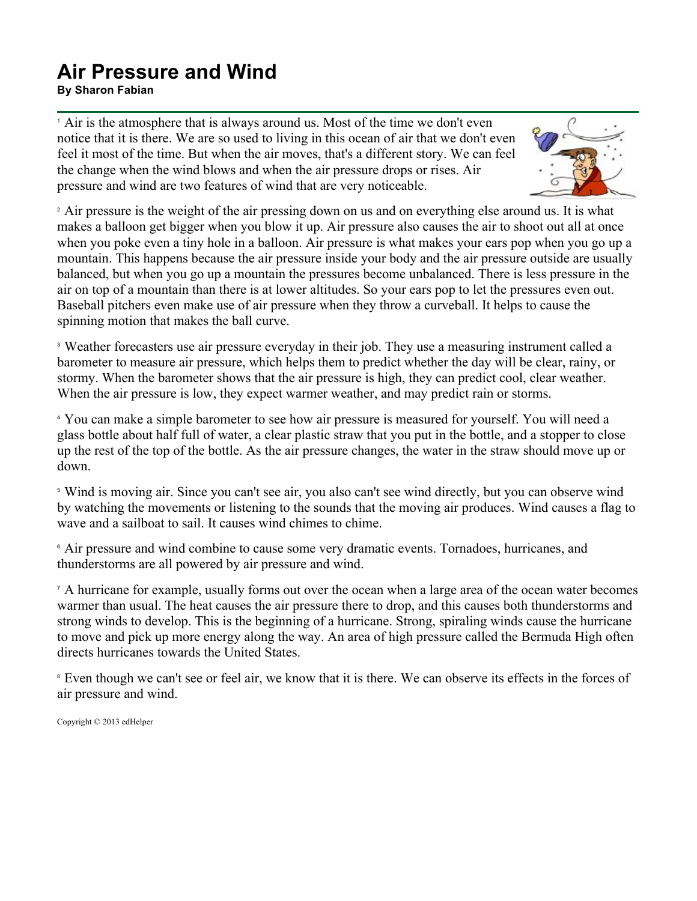## **Air Pressure and Wind**

**By Sharon Fabian**

<sup>1</sup> Air is the atmosphere that is always around us. Most of the time we don't even notice that it is there. We are so used to living in this ocean of air that we don't even feel it most of the time. But when the air moves, that's a different story. We can feel the change when the wind blows and when the air pressure drops or rises. Air pressure and wind are two features of wind that are very noticeable.



<sup>2</sup> Air pressure is the weight of the air pressing down on us and on everything else around us. It is what makes a balloon get bigger when you blow it up. Air pressure also causes the air to shoot out all at once when you poke even a tiny hole in a balloon. Air pressure is what makes your ears pop when you go up a mountain. This happens because the air pressure inside your body and the air pressure outside are usually balanced, but when you go up a mountain the pressures become unbalanced. There is less pressure in the air on top of a mountain than there is at lower altitudes. So your ears pop to let the pressures even out. Baseball pitchers even make use of air pressure when they throw a curveball. It helps to cause the spinning motion that makes the ball curve.

<sup>3</sup> Weather forecasters use air pressure everyday in their job. They use a measuring instrument called a barometer to measure air pressure, which helps them to predict whether the day will be clear, rainy, or stormy. When the barometer shows that the air pressure is high, they can predict cool, clear weather. When the air pressure is low, they expect warmer weather, and may predict rain or storms.

<sup>4</sup> You can make a simple barometer to see how air pressure is measured for yourself. You will need a glass bottle about half full of water, a clear plastic straw that you put in the bottle, and a stopper to close up the rest of the top of the bottle. As the air pressure changes, the water in the straw should move up or down.

<sup>5</sup> Wind is moving air. Since you can't see air, you also can't see wind directly, but you can observe wind by watching the movements or listening to the sounds that the moving air produces. Wind causes a flag to wave and a sailboat to sail. It causes wind chimes to chime.

<sup>6</sup> Air pressure and wind combine to cause some very dramatic events. Tornadoes, hurricanes, and thunderstorms are all powered by air pressure and wind.

<sup>7</sup> A hurricane for example, usually forms out over the ocean when a large area of the ocean water becomes warmer than usual. The heat causes the air pressure there to drop, and this causes both thunderstorms and strong winds to develop. This is the beginning of a hurricane. Strong, spiraling winds cause the hurricane to move and pick up more energy along the way. An area of high pressure called the Bermuda High often directs hurricanes towards the United States.

<sup>8</sup> Even though we can't see or feel air, we know that it is there. We can observe its effects in the forces of air pressure and wind.

Copyright © 2013 edHelper